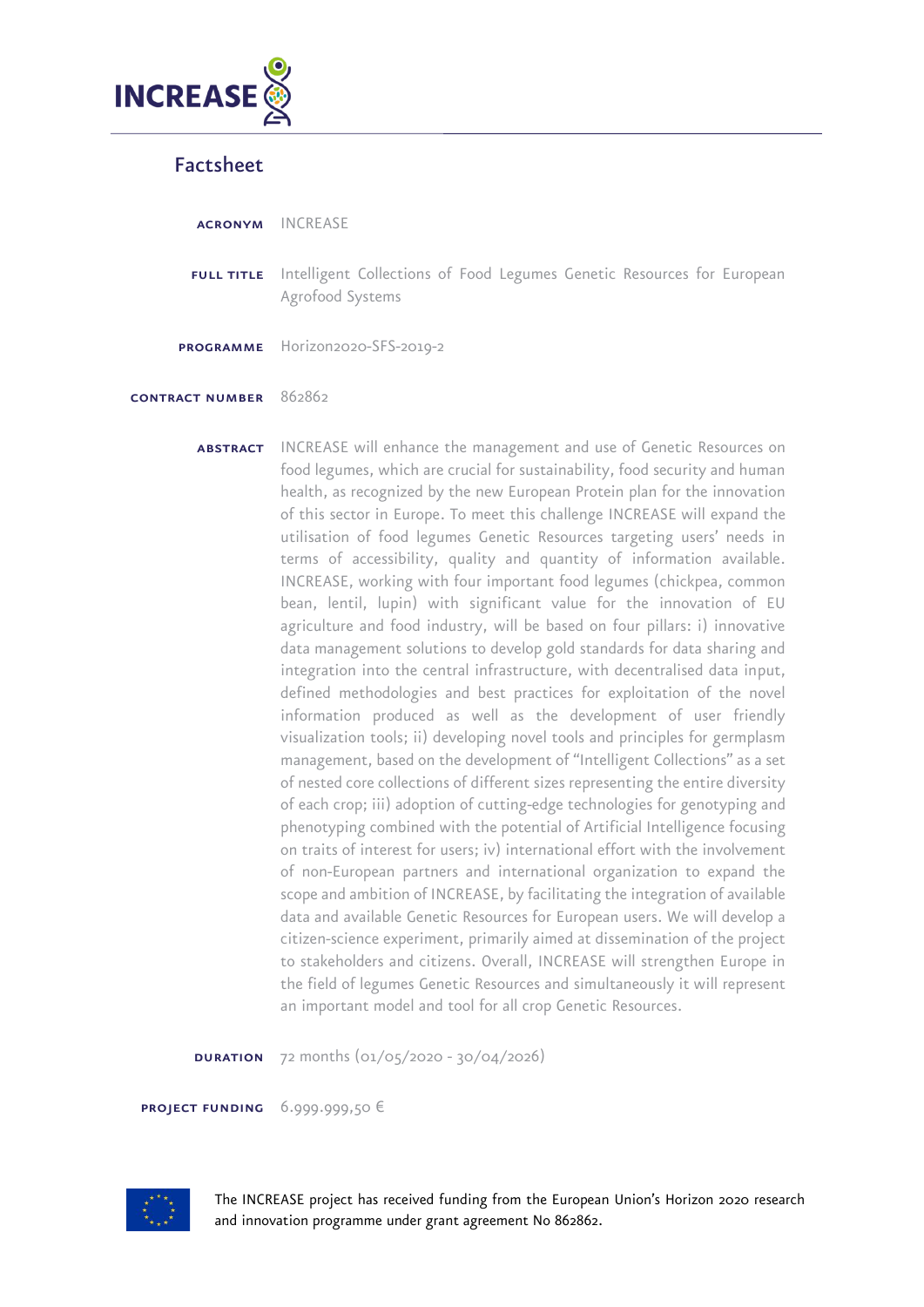

## Factsheet

acronym INCREASE

FULL TITLE Intelligent Collections of Food Legumes Genetic Resources for European Agrofood Systems

programme Horizon2020-SFS-2019-2

## contract number 862862

**ABSTRACT** INCREASE will enhance the management and use of Genetic Resources on food legumes, which are crucial for sustainability, food security and human health, as recognized by the new European Protein plan for the innovation of this sector in Europe. To meet this challenge INCREASE will expand the utilisation of food legumes Genetic Resources targeting users' needs in terms of accessibility, quality and quantity of information available. INCREASE, working with four important food legumes (chickpea, common bean, lentil, lupin) with significant value for the innovation of EU agriculture and food industry, will be based on four pillars: i) innovative data management solutions to develop gold standards for data sharing and integration into the central infrastructure, with decentralised data input, defined methodologies and best practices for exploitation of the novel information produced as well as the development of user friendly visualization tools; ii) developing novel tools and principles for germplasm management, based on the development of "Intelligent Collections" as a set of nested core collections of different sizes representing the entire diversity of each crop; iii) adoption of cutting-edge technologies for genotyping and phenotyping combined with the potential of Artificial Intelligence focusing on traits of interest for users; iv) international effort with the involvement of non-European partners and international organization to expand the scope and ambition of INCREASE, by facilitating the integration of available data and available Genetic Resources for European users. We will develop a citizen-science experiment, primarily aimed at dissemination of the project to stakeholders and citizens. Overall, INCREASE will strengthen Europe in the field of legumes Genetic Resources and simultaneously it will represent an important model and tool for all crop Genetic Resources.

**DURATION** 72 months  $(01/05/2020 - 30/04/2026)$ 

project funding 6.999.999,50 €



The INCREASE project has received funding from the European Union's Horizon 2020 research and innovation programme under grant agreement No 862862.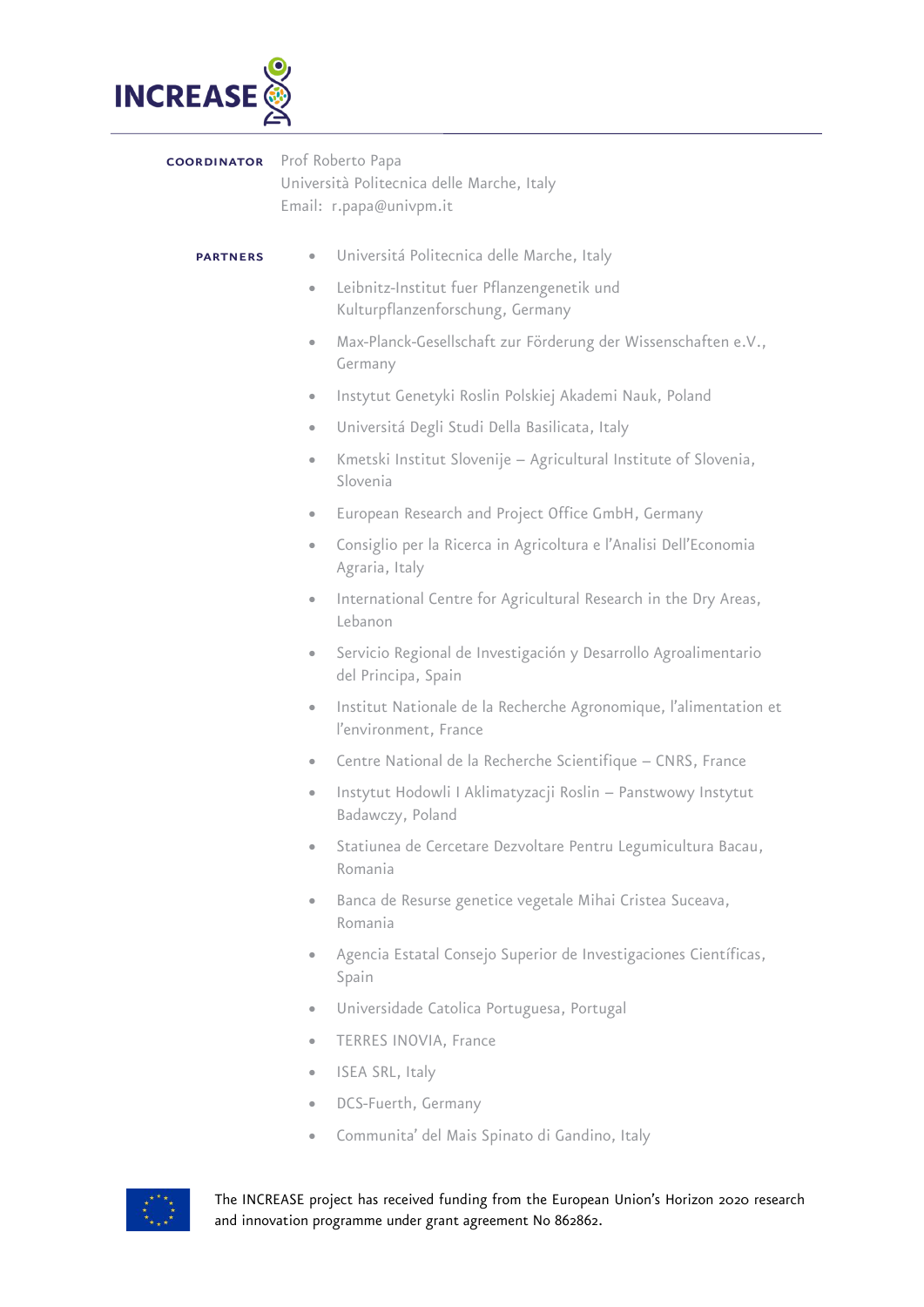

coordinator Prof Roberto Papa Università Politecnica delle Marche, Italy Email: r.papa@univpm.it

## **PARTNERS** • Universitá Politecnica delle Marche, Italy

- Leibnitz-Institut fuer Pflanzengenetik und Kulturpflanzenforschung, Germany
- Max-Planck-Gesellschaft zur Förderung der Wissenschaften e.V., Germany
- Instytut Genetyki Roslin Polskiej Akademi Nauk, Poland
- Universitá Degli Studi Della Basilicata, Italy
- Kmetski Institut Slovenije Agricultural Institute of Slovenia, Slovenia
- European Research and Project Office GmbH, Germany
- Consiglio per la Ricerca in Agricoltura e l'Analisi Dell'Economia Agraria, Italy
- International Centre for Agricultural Research in the Dry Areas, Lebanon
- Servicio Regional de Investigación y Desarrollo Agroalimentario del Principa, Spain
- Institut Nationale de la Recherche Agronomique, l'alimentation et l'environment, France
- Centre National de la Recherche Scientifique CNRS, France
- Instytut Hodowli I Aklimatyzacji Roslin Panstwowy Instytut Badawczy, Poland
- Statiunea de Cercetare Dezvoltare Pentru Legumicultura Bacau, Romania
- Banca de Resurse genetice vegetale Mihai Cristea Suceava, Romania
- Agencia Estatal Consejo Superior de Investigaciones Científicas, Spain
- Universidade Catolica Portuguesa, Portugal
- TERRES INOVIA, France
- ISEA SRL, Italy
- DCS-Fuerth, Germany
- Communita' del Mais Spinato di Gandino, Italy



The INCREASE project has received funding from the European Union's Horizon 2020 research and innovation programme under grant agreement No 862862.